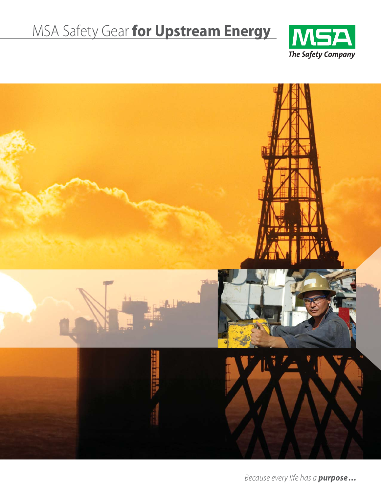# MSA Safety Gear **for Upstream Energy**





*Because every life has a purpose...*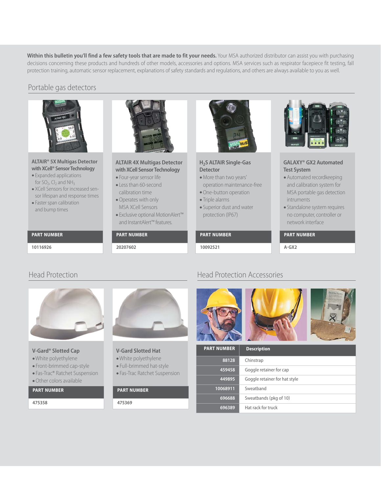**Within this bulletin you'll find a few safety tools that are made to fit your needs.** Your MSA authorized distributor can assist you with purchasing decisions concerning these products and hundreds of other models, accessories and options. MSA services such as respirator facepiece fit testing, fall protection training, automatic sensor replacement, explanations of safety standards and regulations, and others are always available to you as well.

# Portable gas detectors



# **ALTAIR® 5X Multigas Detector with XCell® Sensor Technology**

- Expanded applications for SO<sub>2</sub>, Cl<sub>2</sub> and NH<sub>3</sub>
- XCell Sensors for increased sensor lifespan and response times
- Faster span calibration and bump times

# **PART NUMBER**

**10116926**



# **ALTAIR 4X Multigas Detector with XCell Sensor Technology**

- Four-year sensor life
- Less than 60-second calibration time
- •Operates with only MSA XCell Sensors
- Exclusive optional MotionAlert™ and InstantAlert™ features.

# **PART NUMBER**

**20207602**



# **H2S ALTAIR Single-Gas Detector**

- •More than two years' operation maintenance-free
- •One-button operation • Triple alarms
- 
- Superior dust and water protection (IP67)

# **PART NUMBER**

**10092521**



# **GALAXY® GX2 Automated Test System**

- •Automated recordkeeping and calibration system for MSA portable gas detection intruments
- Standalone system requires no computer, controller or network interface

# **PART NUMBER**

**A-GX2**



# **V-Gard® Slotted Cap**

- •White polyethylene
- Front-brimmed cap-style
- Fas-Trac® Ratchet Suspension

# •Other colors available

**PART NUMBER**

**475358**



# **V-Gard Slotted Hat**

- •White polyethylene
- Full-brimmed hat-style
- Fas-Trac Ratchet Suspension

# **PART NUMBER**

#### **475369**

# Head Protection **Head Protection Head Protection Accessories**



| <b>PART NUMBER</b> | <b>Description</b>            |
|--------------------|-------------------------------|
| 88128              | Chinstrap                     |
| 459458             | Goggle retainer for cap       |
| 449895             | Goggle retainer for hat style |
| 10068911           | Sweathand                     |
| 696688             | Sweatbands (pkg of 10)        |
| 696389             | Hat rack for truck            |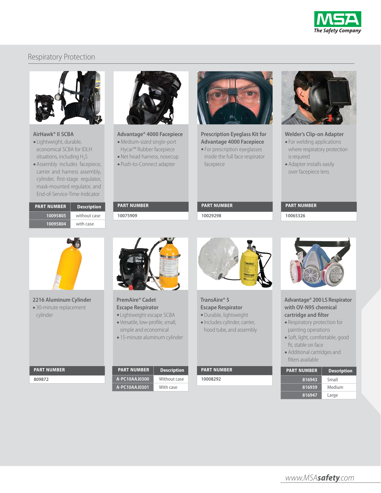

# Respiratory Protection



# **AirHawk® II SCBA**

- Lightweight, durable, economical SCBA for IDLH situations, including  $H_2S$
- •Assembly includes facepiece, carrier and harness assembly, cylinder, first-stage regulator, mask-mounted regulator, and End-of-Service-Time-Indicator

| <b>PART NUMBER</b> | <b>Description</b> |
|--------------------|--------------------|
| 10095805           | without case       |
| 10095804           | with case          |



# **Advantage® 4000 Facepiece**

- •Medium-sized single-port Hycar™ Rubber facepiece
- •Net head harness, nosecup
- Push-to-Connect adapter

**PART NUMBER 10075909**



# **Prescription Eyeglass Kit for Advantage 4000 Facepiece**

• For prescription eyeglasses inside the full face respirator facepiece



#### **Welder's Clip-on Adapter**

- For welding applications where respiratory protection is required
- •Adapter installs easily over facepiece lens

# **PART NUMBER**

**10065326**



**2216 Aluminum Cylinder** • 30-minute replacement cylinder

**PART NUMBER**

**809872**



### **PremAire® Cadet Escape Respirator**

- Lightweight escape SCBA • Versatile, low-profile, small,
- simple and economical • 15-minute aluminum cylinder

**PART NUMBER Description A-PC10AAJ0300** Without case **A-PC10AAJ0301** With case



# **TransAire® 5 Escape Respirator**

**PART NUMBER 10029298**

•Durable, lightweight •Includes cylinder, carrier, hood tube, and assembly

**PART NUMBER**

**10008292**



# **Advantage® 200 LS Respirator with OV-N95 chemical cartridge and filter**

- Respiratory protection for painting operations
- Soft, light, comfortable, good fit, stable on face
- •Additional cartridges and filters available

| <b>PART NUMBER</b> | <b>Description</b> |
|--------------------|--------------------|
| 816943             | Small              |
| 816939             | Medium             |
| 816947             | Large              |